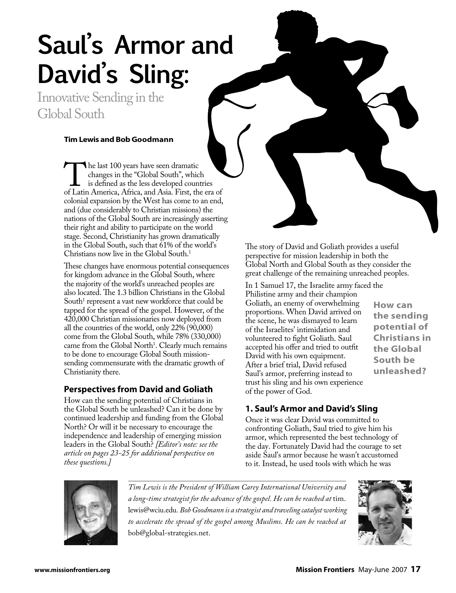# **Saul's Armor and David's Sling:**

Innovative Sending in the Global South

#### **Tim Lewis and Bob Goodmann**

The last 100 years have seen dramatic<br>
changes in the "Global South", which<br>
is defined as the less developed countries<br>
of Latin America, Africa, and Asia. First, the era of changes in the "Global South", which is defined as the less developed countries colonial expansion by the West has come to an end, and (due considerably to Christian missions) the nations of the Global South are increasingly asserting their right and ability to participate on the world stage. Second, Christianity has grown dramatically in the Global South, such that 61% of the world's Christians now live in the Global South<sup>1</sup>

These changes have enormous potential consequences for kingdom advance in the Global South, where the majority of the world's unreached peoples are also located. The 1.3 billion Christians in the Global South<sup>1</sup> represent a vast new workforce that could be tapped for the spread of the gospel. However, of the 420,000 Christian missionaries now deployed from all the countries of the world, only 22% (90,000) come from the Global South, while 78% (330,000) came from the Global North<sup>1</sup>. Clearly much remains to be done to encourage Global South missionsending commensurate with the dramatic growth of Christianity there.

# **Perspectives from David and Goliath**

How can the sending potential of Christians in the Global South be unleashed? Can it be done by continued leadership and funding from the Global North? Or will it be necessary to encourage the independence and leadership of emerging mission leaders in the Global South? *[Editor's note: see the article on pages 23-25 for additional perspective on these questions.]*

The story of David and Goliath provides a useful perspective for mission leadership in both the Global North and Global South as they consider the great challenge of the remaining unreached peoples.

In 1 Samuel 17, the Israelite army faced the Philistine army and their champion Goliath, an enemy of overwhelming proportions. When David arrived on the scene, he was dismayed to learn of the Israelites' intimidation and volunteered to fight Goliath. Saul accepted his offer and tried to outfit David with his own equipment. After a brief trial, David refused Saul's armor, preferring instead to trust his sling and his own experience of the power of God.

**How can the sending potential of Christians in the Global South be unleashed?**

# **1. Saul's Armor and David's Sling**

Once it was clear David was committed to confronting Goliath, Saul tried to give him his armor, which represented the best technology of the day. Fortunately David had the courage to set aside Saul's armor because he wasn't accustomed to it. Instead, he used tools with which he was



*Tim Lewis is the President of William Carey International University and a long-time strategist for the advance of the gospel. He can be reached at* tim. lewis@wciu.edu*. Bob Goodmann is a strategist and traveling catalyst working*  to accelerate the spread of the gospel among Muslims. He can be reached at bob@global-strategies.net.

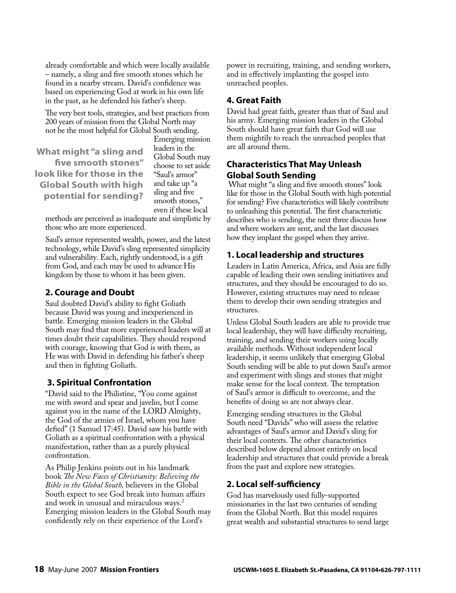already comfortable and which were locally available – namely, a sling and five smooth stones which he found in a nearby stream. David's confidence was based on experiencing God at work in his own life in the past, as he defended his father's sheep.

The very best tools, strategies, and best practices from 200 years of mission from the Global North may not be the most helpful for Global South sending.

**What might "a sling and five smooth stones" look like for those in the Global South with high potential for sending?**

Emerging mission leaders in the Global South may choose to set aside "Saul's armor" and take up "a sling and five smooth stones," even if these local

methods are perceived as inadequate and simplistic by those who are more experienced.

Saul's armor represented wealth, power, and the latest technology, while David's sling represented simplicity and vulnerability. Each, rightly understood, is a gift from God, and each may be used to advance His kingdom by those to whom it has been given.

# **2. Courage and Doubt**

Saul doubted David's ability to fight Goliath because David was young and inexperienced in battle. Emerging mission leaders in the Global South may find that more experienced leaders will at times doubt their capabilities. They should respond with courage, knowing that God is with them, as He was with David in defending his father's sheep and then in fighting Goliath.

# **3. Spiritual Confrontation**

"David said to the Philistine, "You come against me with sword and spear and javelin, but I come against you in the name of the LORD Almighty, the God of the armies of Israel, whom you have defied" (1 Samuel 17:45). David saw his battle with Goliath as a spiritual confrontation with a physical manifestation, rather than as a purely physical confrontation.

As Philip Jenkins points out in his landmark book *The New Faces of Christianity: Believing the Bible in the Global South,* believers in the Global South expect to see God break into human affairs and work in unusual and miraculous ways.<sup>2</sup> Emerging mission leaders in the Global South may confidently rely on their experience of the Lord's

power in recruiting, training, and sending workers, and in effectively implanting the gospel into unreached peoples.

# **4. Great Faith**

David had great faith, greater than that of Saul and his army. Emerging mission leaders in the Global South should have great faith that God will use them mightily to reach the unreached peoples that are all around them.

# **Characteristics That May Unleash Global South Sending**

What might "a sling and five smooth stones" look like for those in the Global South with high potential for sending? Five characteristics will likely contribute to unleashing this potential. The first characteristic describes who is sending, the next three discuss how and where workers are sent, and the last discusses how they implant the gospel when they arrive.

# **1. Local leadership and structures**

Leaders in Latin America, Africa, and Asia are fully capable of leading their own sending initiatives and structures, and they should be encouraged to do so. However, existing structures may need to release them to develop their own sending strategies and structures.

Unless Global South leaders are able to provide true local leadership, they will have difficulty recruiting, training, and sending their workers using locally available methods. Without independent local leadership, it seems unlikely that emerging Global South sending will be able to put down Saul's armor and experiment with slings and stones that might make sense for the local context. The temptation of Saul's armor is difficult to overcome, and the benefits of doing so are not always clear.

Emerging sending structures in the Global South need "Davids" who will assess the relative advantages of Saul's armor and David's sling for their local contexts. The other characteristics described below depend almost entirely on local leadership and structures that could provide a break from the past and explore new strategies.

# **2. Local self-sufficiency**

God has marvelously used fully-supported missionaries in the last two centuries of sending from the Global North. But this model requires great wealth and substantial structures to send large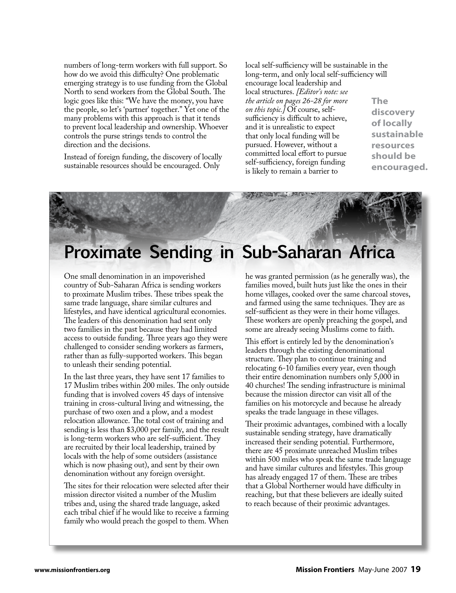numbers of long-term workers with full support. So how do we avoid this difficulty? One problematic emerging strategy is to use funding from the Global North to send workers from the Global South. The logic goes like this: "We have the money, you have the people, so let's 'partner' together." Yet one of the many problems with this approach is that it tends to prevent local leadership and ownership. Whoever controls the purse strings tends to control the direction and the decisions.

Instead of foreign funding, the discovery of locally sustainable resources should be encouraged. Only

local self-sufficiency will be sustainable in the long-term, and only local self-sufficiency will encourage local leadership and local structures. *[Editor's note: see the article on pages 26-28 for more on this topic.]* Of course, selfsufficiency is difficult to achieve, and it is unrealistic to expect that only local funding will be pursued. However, without a committed local effort to pursue self-sufficiency, foreign funding is likely to remain a barrier to

**The discovery of locally sustainable resources should be encouraged.**



# **Proximate Sending in Sub-Saharan Africa**

One small denomination in an impoverished country of Sub-Saharan Africa is sending workers to proximate Muslim tribes. These tribes speak the same trade language, share similar cultures and lifestyles, and have identical agricultural economies. The leaders of this denomination had sent only two families in the past because they had limited access to outside funding. Three years ago they were challenged to consider sending workers as farmers, rather than as fully-supported workers. This began to unleash their sending potential.

In the last three years, they have sent 17 families to 17 Muslim tribes within 200 miles. The only outside funding that is involved covers 45 days of intensive training in cross-cultural living and witnessing, the purchase of two oxen and a plow, and a modest relocation allowance. The total cost of training and sending is less than \$3,000 per family, and the result is long-term workers who are self-sufficient. They are recruited by their local leadership, trained by locals with the help of some outsiders (assistance which is now phasing out), and sent by their own denomination without any foreign oversight.

The sites for their relocation were selected after their mission director visited a number of the Muslim tribes and, using the shared trade language, asked each tribal chief if he would like to receive a farming family who would preach the gospel to them. When

he was granted permission (as he generally was), the families moved, built huts just like the ones in their home villages, cooked over the same charcoal stoves, and farmed using the same techniques. They are as self-sufficient as they were in their home villages. These workers are openly preaching the gospel, and some are already seeing Muslims come to faith.

This effort is entirely led by the denomination's leaders through the existing denominational structure. They plan to continue training and relocating 6-10 families every year, even though their entire denomination numbers only 5,000 in 40 churches! The sending infrastructure is minimal because the mission director can visit all of the families on his motorcycle and because he already speaks the trade language in these villages.

Their proximic advantages, combined with a locally sustainable sending strategy, have dramatically increased their sending potential. Furthermore, there are 45 proximate unreached Muslim tribes within 500 miles who speak the same trade language and have similar cultures and lifestyles. This group has already engaged 17 of them. These are tribes that a Global Northerner would have difficulty in reaching, but that these believers are ideally suited to reach because of their proximic advantages.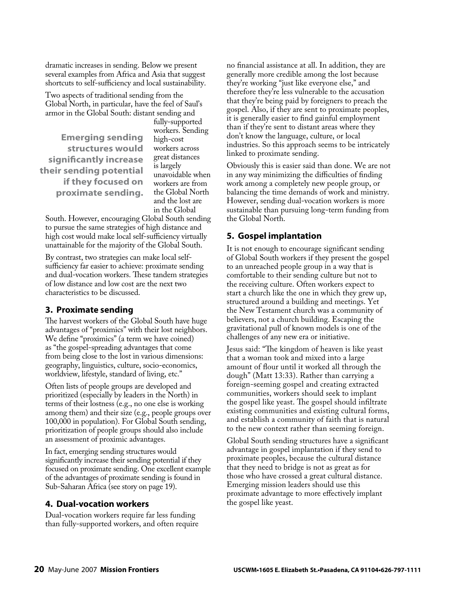dramatic increases in sending. Below we present several examples from Africa and Asia that suggest shortcuts to self-sufficiency and local sustainability.

Two aspects of traditional sending from the Global North, in particular, have the feel of Saul's armor in the Global South: distant sending and

**Emerging sending structures would significantly increase their sending potential if they focused on proximate sending.** fully-supported workers. Sending high-cost workers across great distances is largely unavoidable when workers are from the Global North and the lost are in the Global

South. However, encouraging Global South sending to pursue the same strategies of high distance and high cost would make local self-sufficiency virtually unattainable for the majority of the Global South.

By contrast, two strategies can make local selfsufficiency far easier to achieve: proximate sending and dual-vocation workers. These tandem strategies of low distance and low cost are the next two characteristics to be discussed.

# **3. Proximate sending**

The harvest workers of the Global South have huge advantages of "proximics" with their lost neighbors. We define "proximics" (a term we have coined) as "the gospel-spreading advantages that come from being close to the lost in various dimensions: geography, linguistics, culture, socio-economics, worldview, lifestyle, standard of living, etc."

Often lists of people groups are developed and prioritized (especially by leaders in the North) in terms of their lostness (e.g., no one else is working among them) and their size (e.g., people groups over 100,000 in population). For Global South sending, prioritization of people groups should also include an assessment of proximic advantages.

In fact, emerging sending structures would significantly increase their sending potential if they focused on proximate sending. One excellent example of the advantages of proximate sending is found in Sub-Saharan Africa (see story on page 19).

#### **4. Dual-vocation workers**

Dual-vocation workers require far less funding than fully-supported workers, and often require no financial assistance at all. In addition, they are generally more credible among the lost because they're working "just like everyone else," and therefore they're less vulnerable to the accusation that they're being paid by foreigners to preach the gospel. Also, if they are sent to proximate peoples, it is generally easier to find gainful employment than if they're sent to distant areas where they don't know the language, culture, or local industries. So this approach seems to be intricately linked to proximate sending.

Obviously this is easier said than done. We are not in any way minimizing the difficulties of finding work among a completely new people group, or balancing the time demands of work and ministry. However, sending dual-vocation workers is more sustainable than pursuing long-term funding from the Global North.

#### **5. Gospel implantation**

It is not enough to encourage significant sending of Global South workers if they present the gospel to an unreached people group in a way that is comfortable to their sending culture but not to the receiving culture. Often workers expect to start a church like the one in which they grew up, structured around a building and meetings. Yet the New Testament church was a community of believers, not a church building. Escaping the gravitational pull of known models is one of the challenges of any new era or initiative.

Jesus said: "The kingdom of heaven is like yeast that a woman took and mixed into a large amount of flour until it worked all through the dough" (Matt 13:33). Rather than carrying a foreign-seeming gospel and creating extracted communities, workers should seek to implant the gospel like yeast. The gospel should infiltrate existing communities and existing cultural forms, and establish a community of faith that is natural to the new context rather than seeming foreign.

Global South sending structures have a significant advantage in gospel implantation if they send to proximate peoples, because the cultural distance that they need to bridge is not as great as for those who have crossed a great cultural distance. Emerging mission leaders should use this proximate advantage to more effectively implant the gospel like yeast.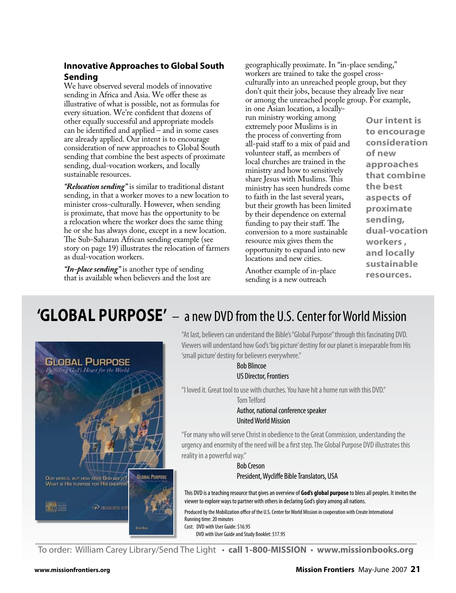# **Innovative Approaches to Global South Sending**

We have observed several models of innovative sending in Africa and Asia. We offer these as illustrative of what is possible, not as formulas for every situation. We're confident that dozens of other equally successful and appropriate models can be identified and applied – and in some cases are already applied. Our intent is to encourage consideration of new approaches to Global South sending that combine the best aspects of proximate sending, dual-vocation workers, and locally sustainable resources.

*"Relocation sending"* is similar to traditional distant sending, in that a worker moves to a new location to minister cross-culturally. However, when sending is proximate, that move has the opportunity to be a relocation where the worker does the same thing he or she has always done, except in a new location. The Sub-Saharan African sending example (see story on page 19) illustrates the relocation of farmers as dual-vocation workers.

*"In-place sending"* is another type of sending that is available when believers and the lost are geographically proximate. In "in-place sending," workers are trained to take the gospel crossculturally into an unreached people group, but they don't quit their jobs, because they already live near or among the unreached people group. For example,

in one Asian location, a locallyrun ministry working among extremely poor Muslims is in the process of converting from all-paid staff to a mix of paid and volunteer staff, as members of local churches are trained in the ministry and how to sensitively share Jesus with Muslims. This ministry has seen hundreds come to faith in the last several years, but their growth has been limited by their dependence on external funding to pay their staff. The conversion to a more sustainable resource mix gives them the opportunity to expand into new locations and new cities.

Another example of in-place sending is a new outreach

**Our intent is to encourage consideration of new approaches that combine the best aspects of proximate sending, dual-vocation workers , and locally sustainable resources.**

# **'GLOBAL PURPOSE'** – a new DVD from the U.S. Center for World Mission



"At last, believers can understand the Bible's "Global Purpose" through this fascinating DVD. Viewers will understand how God's 'big picture' destiny for our planet is inseparable from His 'small picture' destiny for believers everywhere."

#### Bob Blincoe US Director, Frontiers

"I loved it. Great tool to use with churches. You have hit a home run with this DVD."

Tom Telford

#### Author, national conference speaker United World Mission

"For many who will serve Christ in obedience to the Great Commission, understanding the urgency and enormity of the need will be a first step. The Global Purpose DVD illustrates this reality in a powerful way."

> Bob Creson President, Wycliffe Bible Translators, USA

This DVD is a teaching resource that gives an overview of **God's global purpose** to bless all peoples. It invites the viewer to explore ways to partner with others in declaring God's glory among all nations.

Produced by the Mobilization office of the U.S. Center for World Mission in cooperation with Create International Running time: 20 minutes Cost: DVD with User Guide: \$16.95 DVD with User Guide and Study Booklet: \$17.95

To order: William Carey Library/Send The Light • **call 1-800-MISSION** • **www.missionbooks.org**